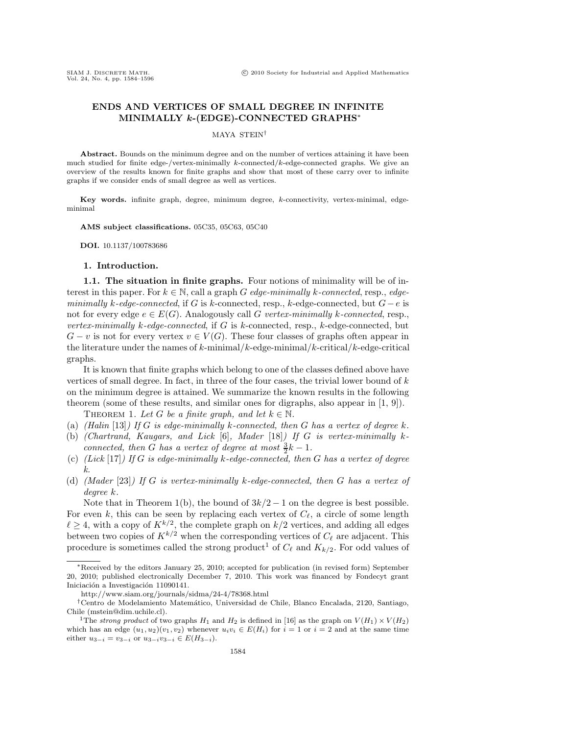# **ENDS AND VERTICES OF SMALL DEGREE IN INFINITE MINIMALLY** *k***-(EDGE)-CONNECTED GRAPHS**<sup>∗</sup>

MAYA STEIN†

Abstract. Bounds on the minimum degree and on the number of vertices attaining it have been much studied for finite edge-/vertex-minimally  $k$ -connected/ $k$ -edge-connected graphs. We give an overview of the results known for finite graphs and show that most of these carry over to infinite graphs if we consider ends of small degree as well as vertices.

**Key words.** infinite graph, degree, minimum degree, k-connectivity, vertex-minimal, edgeminimal

**AMS subject classifications.** 05C35, 05C63, 05C40

**DOI.** 10.1137/100783686

## **1. Introduction.**

**1.1. The situation in finite graphs.** Four notions of minimality will be of interest in this paper. For  $k \in \mathbb{N}$ , call a graph G *edge-minimally* k-connected, resp., *edgeminimally* k*-edge-connected*, if G is k-connected, resp., k-edge-connected, but G−e is not for every edge  $e \in E(G)$ . Analogously call G *vertex-minimally k-connected*, resp., *vertex-minimally* k*-edge-connected*, if G is k-connected, resp., k-edge-connected, but  $G - v$  is not for every vertex  $v \in V(G)$ . These four classes of graphs often appear in the literature under the names of k-minimal/k-edge-minimal/k-critical/k-edge-critical graphs.

It is known that finite graphs which belong to one of the classes defined above have vertices of small degree. In fact, in three of the four cases, the trivial lower bound of  $k$ on the minimum degree is attained. We summarize the known results in the following theorem (some of these results, and similar ones for digraphs, also appear in [1, 9]). THEOREM 1. Let G be a finite graph, and let  $k \in \mathbb{N}$ .

(a) *(Halin* [13]*) If* G *is edge-minimally* k*-connected, then* G *has a vertex of degree* k*.*

- (b) *(Chartrand, Kaugars, and Lick* [6]*, Mader* [18]*) If* G *is vertex-minimally* k*connected, then G has a vertex of degree at most*  $\frac{3}{2}k - 1$ *.*
- (c) *(Lick* [17]*) If* G *is edge-minimally* k*-edge-connected, then* G *has a vertex of degree k.*
- (d) *(Mader* [23]*) If* G *is vertex-minimally* k*-edge-connected, then* G *has a vertex of degree* k*.*

Note that in Theorem 1(b), the bound of  $3k/2 - 1$  on the degree is best possible. For even k, this can be seen by replacing each vertex of  $C_{\ell}$ , a circle of some length  $\ell \geq 4$ , with a copy of  $K^{k/2}$ , the complete graph on  $k/2$  vertices, and adding all edges between two copies of  $K^{k/2}$  when the corresponding vertices of  $C_{\ell}$  are adjacent. This procedure is sometimes called the strong product<sup>1</sup> of  $C_{\ell}$  and  $K_{k/2}$ . For odd values of

<sup>∗</sup>Received by the editors January 25, 2010; accepted for publication (in revised form) September 20, 2010; published electronically December 7, 2010. This work was financed by Fondecyt grant Iniciación a Investigación 11090141.

http://www.siam.org/journals/sidma/24-4/78368.html

<sup>†</sup>Centro de Modelamiento Matem´atico, Universidad de Chile, Blanco Encalada, 2120, Santiago, Chile (mstein@dim.uchile.cl). <sup>1</sup>The *strong product* of two graphs  $H_1$  and  $H_2$  is defined in [16] as the graph on  $V(H_1) \times V(H_2)$ 

which has an edge  $(u_1, u_2)(v_1, v_2)$  whenever  $u_i v_i \in E(H_i)$  for  $i = 1$  or  $i = 2$  and at the same time either  $u_{3-i} = v_{3-i}$  or  $u_{3-i}v_{3-i} \in E(H_{3-i}).$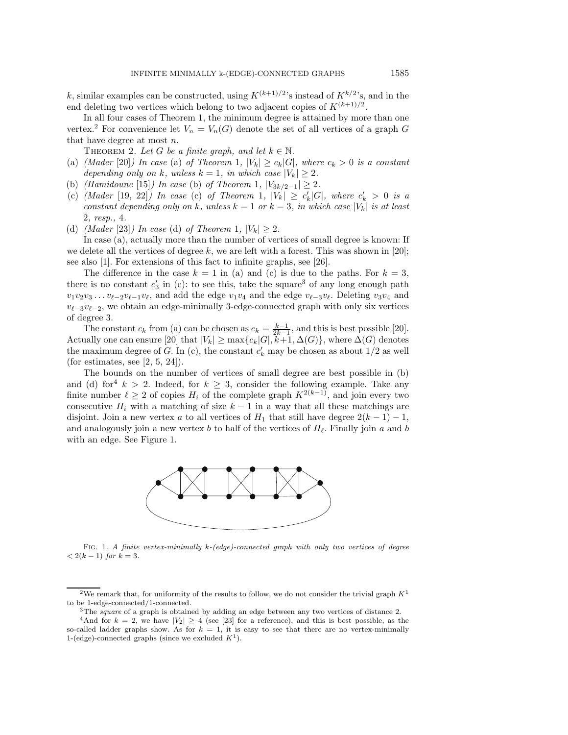k, similar examples can be constructed, using  $K^{(k+1)/2}$ 's instead of  $K^{k/2}$ 's, and in the end deleting two vertices which belong to two adjacent copies of  $K^{(k+1)/2}$ .

In all four cases of Theorem 1, the minimum degree is attained by more than one vertex.<sup>2</sup> For convenience let  $V_n = V_n(G)$  denote the set of all vertices of a graph G that have degree at most n.

THEOREM 2. Let G be a finite graph, and let  $k \in \mathbb{N}$ .

- (a) *(Mader* [20]*)* In case (a) of Theorem 1,  $|V_k| \ge c_k |G|$ *, where*  $c_k > 0$  *is a constant depending only on* k, unless  $k = 1$ , in which case  $|V_k| \geq 2$ .
- (b) *(Hamidoune* [15]*) In case* (b) *of Theorem* 1*,*  $|V_{3k/2-1}| \ge 2$ *.*
- $(c)$  *(Mader* [19, 22]) In case (c) of Theorem 1,  $|V_k| \ge c'_k |G|$ , where  $c'_k > 0$  is a *constant depending only on* k, unless  $k = 1$  *or*  $k = 3$ , *in which case*  $|V_k|$  *is at least* 2*, resp.,* 4*.*
- (d) *(Mader* [23]*)* In case (d) of Theorem 1,  $|V_k| \geq 2$ .

In case (a), actually more than the number of vertices of small degree is known: If we delete all the vertices of degree k, we are left with a forest. This was shown in [20]; see also [1]. For extensions of this fact to infinite graphs, see [26].

The difference in the case  $k = 1$  in (a) and (c) is due to the paths. For  $k = 3$ , there is no constant  $c'_3$  in (c): to see this, take the square<sup>3</sup> of any long enough path  $v_1v_2v_3 \ldots v_{\ell-2}v_{\ell-1}v_{\ell}$ , and add the edge  $v_1v_4$  and the edge  $v_{\ell-3}v_{\ell}$ . Deleting  $v_3v_4$  and  $v_{\ell-3}v_{\ell-2}$ , we obtain an edge-minimally 3-edge-connected graph with only six vertices of degree 3.

The constant  $c_k$  from (a) can be chosen as  $c_k = \frac{k-1}{2k-1}$ , and this is best possible [20].<br>Actually one can ensure [20] that  $|V_k| \ge \max\{c_k|G|, k+1, \Delta(G)\}$ , where  $\Delta(G)$  denotes the maximum degree of  $G$ . In (c), the constant  $c'_{k}$  may be chosen as about  $1/2$  as well (for estimates, see  $[2, 5, 24]$ ).

The bounds on the number of vertices of small degree are best possible in (b) and (d) for  $k > 2$ . Indeed, for  $k > 3$ , consider the following example. Take any finite number  $\ell \geq 2$  of copies  $H_i$  of the complete graph  $K^{2(k-1)}$ , and join every two consecutive  $H_i$  with a matching of size  $k-1$  in a way that all these matchings are disjoint. Join a new vertex a to all vertices of  $H_1$  that still have degree  $2(k-1)-1$ , and analogously join a new vertex b to half of the vertices of  $H_{\ell}$ . Finally join a and b with an edge. See Figure 1.



Fig. 1. *A finite vertex-minimally* k*-(edge)-connected graph with only two vertices of degree*  $< 2(k - 1)$  *for*  $k = 3$ *.* 

<sup>&</sup>lt;sup>2</sup>We remark that, for uniformity of the results to follow, we do not consider the trivial graph  $K^1$ to be 1-edge-connected/1-connected.<br><sup>3</sup>The *square* of a graph is obtained by adding an edge between any two vertices of distance 2.<br><sup>4</sup>And for  $k = 2$ , we have  $|V_2| \ge 4$  (see [23] for a reference), and this is best poss

so-called ladder graphs show. As for  $k = 1$ , it is easy to see that there are no vertex-minimally 1-(edge)-connected graphs (since we excluded  $K^1$ ).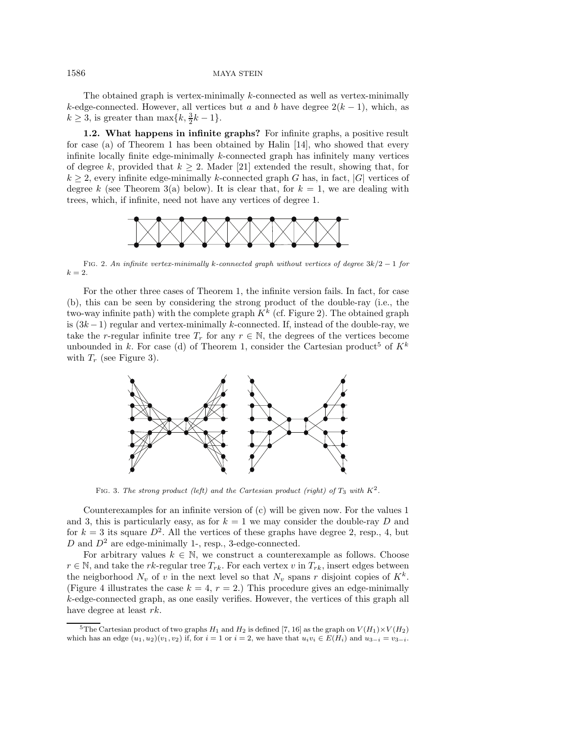#### 1586 MAYA STEIN

The obtained graph is vertex-minimally k-connected as well as vertex-minimally k-edge-connected. However, all vertices but a and b have degree  $2(k-1)$ , which, as  $k \geq 3$ , is greater than  $\max\{k, \frac{3}{2}k - 1\}.$ 

**1.2. What happens in infinite graphs?** For infinite graphs, a positive result for case (a) of Theorem 1 has been obtained by Halin [14], who showed that every infinite locally finite edge-minimally  $k$ -connected graph has infinitely many vertices of degree k, provided that  $k \geq 2$ . Mader [21] extended the result, showing that, for  $k \geq 2$ , every infinite edge-minimally k-connected graph G has, in fact, |G| vertices of degree k (see Theorem 3(a) below). It is clear that, for  $k = 1$ , we are dealing with trees, which, if infinite, need not have any vertices of degree 1.



Fig. 2. *An infinite vertex-minimally* <sup>k</sup>*-connected graph without vertices of degree* <sup>3</sup>k/<sup>2</sup> <sup>−</sup> <sup>1</sup> *for*  $k = 2.$ 

For the other three cases of Theorem 1, the infinite version fails. In fact, for case (b), this can be seen by considering the strong product of the double-ray (i.e., the two-way infinite path) with the complete graph  $K^k$  (cf. Figure 2). The obtained graph is  $(3k-1)$  regular and vertex-minimally k-connected. If, instead of the double-ray, we take the r-regular infinite tree  $T_r$  for any  $r \in \mathbb{N}$ , the degrees of the vertices become unbounded in k. For case (d) of Theorem 1, consider the Cartesian product<sup>5</sup> of  $K^k$ with  $T_r$  (see Figure 3).



FIG. 3. The strong product (left) and the Cartesian product (right) of  $T_3$  with  $K^2$ .

Counterexamples for an infinite version of (c) will be given now. For the values 1 and 3, this is particularly easy, as for  $k = 1$  we may consider the double-ray D and for  $k = 3$  its square  $D^2$ . All the vertices of these graphs have degree 2, resp., 4, but D and  $D^2$  are edge-minimally 1-, resp., 3-edge-connected.

For arbitrary values  $k \in \mathbb{N}$ , we construct a counterexample as follows. Choose  $r \in \mathbb{N}$ , and take the rk-regular tree  $T_{rk}$ . For each vertex v in  $T_{rk}$ , insert edges between the neigborhood  $N_v$  of v in the next level so that  $N_v$  spans r disjoint copies of  $K^k$ . (Figure 4 illustrates the case  $k = 4$ ,  $r = 2$ .) This procedure gives an edge-minimally  $k$ -edge-connected graph, as one easily verifies. However, the vertices of this graph all have degree at least rk.

<sup>&</sup>lt;sup>5</sup>The Cartesian product of two graphs  $H_1$  and  $H_2$  is defined [7, 16] as the graph on  $V(H_1)\times V(H_2)$ which has an edge  $(u_1, u_2)(v_1, v_2)$  if, for  $i = 1$  or  $i = 2$ , we have that  $u_i v_i \in E(H_i)$  and  $u_{3-i} = v_{3-i}$ .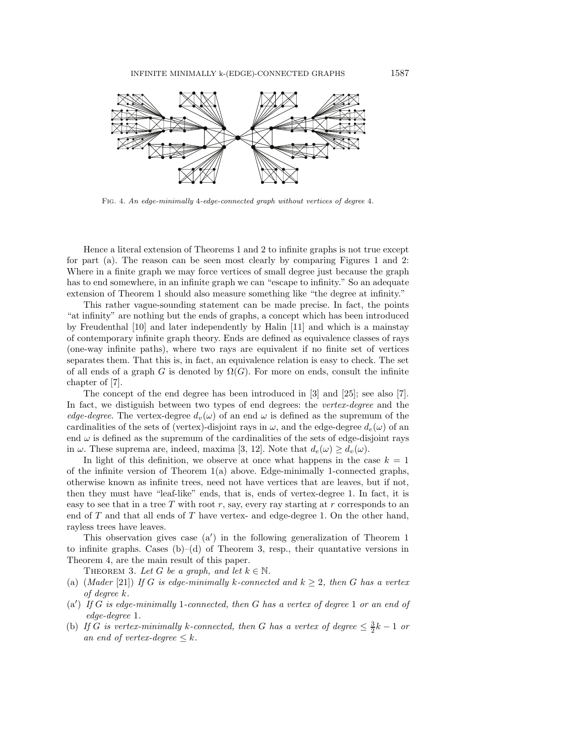

Fig. 4. *An edge-minimally* 4*-edge-connected graph without vertices of degree* 4*.*

Hence a literal extension of Theorems 1 and 2 to infinite graphs is not true except for part (a). The reason can be seen most clearly by comparing Figures 1 and 2: Where in a finite graph we may force vertices of small degree just because the graph has to end somewhere, in an infinite graph we can "escape to infinity." So an adequate extension of Theorem 1 should also measure something like "the degree at infinity."

This rather vague-sounding statement can be made precise. In fact, the points "at infinity" are nothing but the ends of graphs, a concept which has been introduced by Freudenthal [10] and later independently by Halin [11] and which is a mainstay of contemporary infinite graph theory. Ends are defined as equivalence classes of rays (one-way infinite paths), where two rays are equivalent if no finite set of vertices separates them. That this is, in fact, an equivalence relation is easy to check. The set of all ends of a graph G is denoted by  $\Omega(G)$ . For more on ends, consult the infinite chapter of [7].

The concept of the end degree has been introduced in [3] and [25]; see also [7]. In fact, we distiguish between two types of end degrees: the *vertex-degree* and the *edge-degree*. The vertex-degree  $d_v(\omega)$  of an end  $\omega$  is defined as the supremum of the cardinalities of the sets of (vertex)-disjoint rays in  $\omega$ , and the edge-degree  $d_e(\omega)$  of an end  $\omega$  is defined as the supremum of the cardinalities of the sets of edge-disjoint rays in  $\omega$ . These suprema are, indeed, maxima [3, 12]. Note that  $d_e(\omega) \geq d_v(\omega)$ .

In light of this definition, we observe at once what happens in the case  $k = 1$ of the infinite version of Theorem  $1(a)$  above. Edge-minimally 1-connected graphs, otherwise known as infinite trees, need not have vertices that are leaves, but if not, then they must have "leaf-like" ends, that is, ends of vertex-degree 1. In fact, it is easy to see that in a tree  $T$  with root  $r$ , say, every ray starting at  $r$  corresponds to an end of T and that all ends of T have vertex- and edge-degree 1. On the other hand, rayless trees have leaves.

This observation gives case (a ) in the following generalization of Theorem 1 to infinite graphs. Cases  $(b)$ –(d) of Theorem 3, resp., their quantative versions in Theorem 4, are the main result of this paper.

THEOREM 3. Let G be a graph, and let  $k \in \mathbb{N}$ .

- (a)  $(Mader [21])$  *If* G *is edge-minimally* k-connected and  $k \geq 2$ , then G has a vertex *of degree* k*.*
- (a ) *If* G *is edge-minimally* 1*-connected, then* G *has a vertex of degree* 1 *or an end of edge-degree* 1*.*
- (b) *If* G is vertex-minimally k-connected, then G has a vertex of degree  $\leq \frac{3}{2}k 1$  or *an end of vertex-degree*  $\leq k$ *.*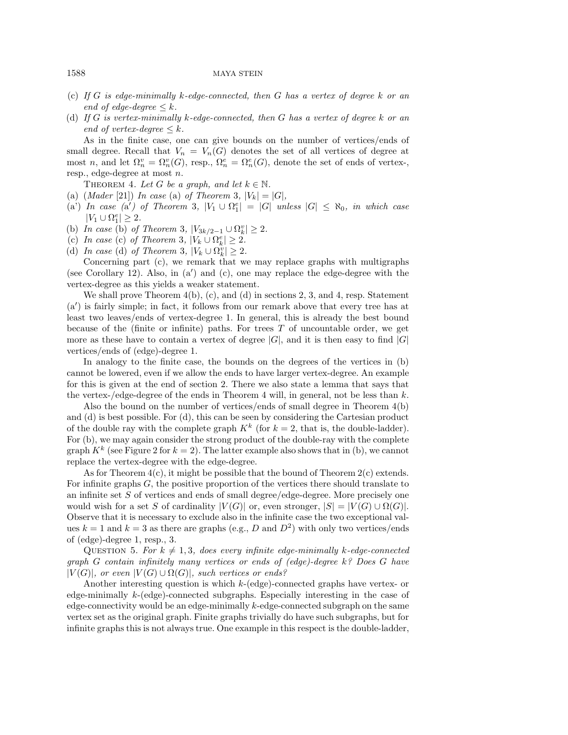### 1588 MAYA STEIN

- (c) *If* G *is edge-minimally* k*-edge-connected, then* G *has a vertex of degree* k *or an end of edge-degree*  $\leq k$ *.*
- (d) *If* G *is vertex-minimally* k*-edge-connected, then* G *has a vertex of degree* k *or an end of vertex-degree*  $\leq k$ *.*

As in the finite case, one can give bounds on the number of vertices/ends of small degree. Recall that  $V_n = V_n(G)$  denotes the set of all vertices of degree at most n, and let  $\Omega_n^v = \Omega_n^v(G)$ , resp.,  $\Omega_n^e = \Omega_n^e(G)$ , denote the set of ends of vertex-, resp., edge-degree at most n.

THEOREM 4. Let G be a graph, and let  $k \in \mathbb{N}$ .

- (a)  $(Mader [21])$  *In case* (a) *of Theorem* 3*,*  $|V_k| = |G|$ *,*
- $(a')$  *In case*  $(a')$  *of Theorem* 3*,*  $|V_1 \cup \Omega_1^e| = |G|$  *unless*  $|G| \leq \aleph_0$ *, in which case*  $|V_1 \cup \Omega_1^e| \geq 2.$
- (b) *In case* (b) *of Theorem* 3*,*  $|V_{3k/2-1} \cup \Omega_k^v| \ge 2$ *.*
- (c) *In case* (c) *of Theorem* 3*,*  $|V_k \cup \Omega_k^e| \geq 2$ .
- (d) *In case* (d) *of Theorem* 3*,*  $|V_k \cup \Omega_k^v| \ge 2$ .

Concerning part (c), we remark that we may replace graphs with multigraphs (see Corollary 12). Also, in  $(a')$  and  $(c)$ , one may replace the edge-degree with the vertex-degree as this yields a weaker statement.

We shall prove Theorem  $4(b)$ , (c), and (d) in sections 2, 3, and 4, resp. Statement (a ) is fairly simple; in fact, it follows from our remark above that every tree has at least two leaves/ends of vertex-degree 1. In general, this is already the best bound because of the (finite or infinite) paths. For trees  $T$  of uncountable order, we get more as these have to contain a vertex of degree  $|G|$ , and it is then easy to find  $|G|$ vertices/ends of (edge)-degree 1.

In analogy to the finite case, the bounds on the degrees of the vertices in (b) cannot be lowered, even if we allow the ends to have larger vertex-degree. An example for this is given at the end of section 2. There we also state a lemma that says that the vertex-/edge-degree of the ends in Theorem 4 will, in general, not be less than  $k$ .

Also the bound on the number of vertices/ends of small degree in Theorem 4(b) and (d) is best possible. For (d), this can be seen by considering the Cartesian product of the double ray with the complete graph  $K^k$  (for  $k = 2$ , that is, the double-ladder). For (b), we may again consider the strong product of the double-ray with the complete graph  $K^k$  (see Figure 2 for  $k = 2$ ). The latter example also shows that in (b), we cannot replace the vertex-degree with the edge-degree.

As for Theorem  $4(c)$ , it might be possible that the bound of Theorem  $2(c)$  extends. For infinite graphs  $G$ , the positive proportion of the vertices there should translate to an infinite set S of vertices and ends of small degree/edge-degree. More precisely one would wish for a set S of cardinality  $|V(G)|$  or, even stronger,  $|S| = |V(G) \cup \Omega(G)|$ . Observe that it is necessary to exclude also in the infinite case the two exceptional values  $k = 1$  and  $k = 3$  as there are graphs (e.g., D and  $D<sup>2</sup>$ ) with only two vertices/ends of (edge)-degree 1, resp., 3.

QUESTION 5. For  $k \neq 1,3$ , does every infinite edge-minimally k-edge-connected *graph* G *contain infinitely many vertices or ends of (edge)-degree* k*? Does* G *have*  $|V(G)|$ , or even  $|V(G) \cup \Omega(G)|$ , such vertices or ends?

Another interesting question is which k-(edge)-connected graphs have vertex- or edge-minimally k-(edge)-connected subgraphs. Especially interesting in the case of edge-connectivity would be an edge-minimally  $k$ -edge-connected subgraph on the same vertex set as the original graph. Finite graphs trivially do have such subgraphs, but for infinite graphs this is not always true. One example in this respect is the double-ladder,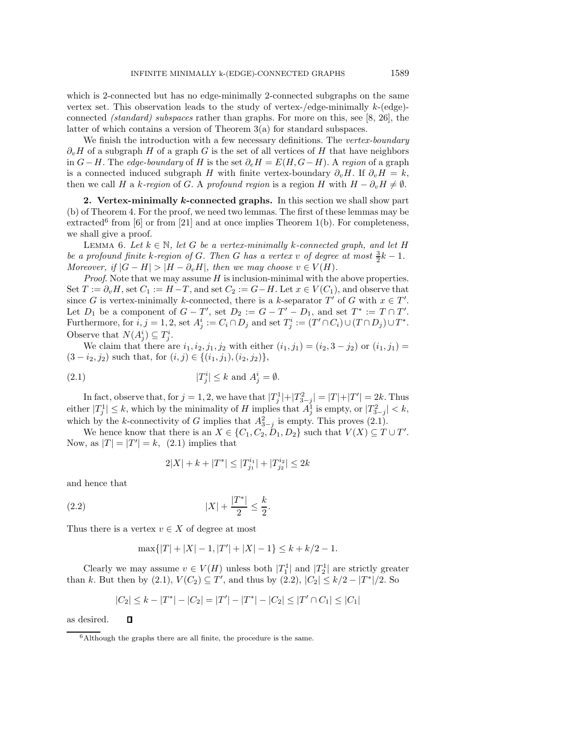which is 2-connected but has no edge-minimally 2-connected subgraphs on the same vertex set. This observation leads to the study of vertex-/edge-minimally  $k$ -(edge)connected *(standard) subspaces* rather than graphs. For more on this, see [8, 26], the latter of which contains a version of Theorem 3(a) for standard subspaces.

We finish the introduction with a few necessary definitions. The *vertex-boundary*  $\partial_{\nu}H$  of a subgraph H of a graph G is the set of all vertices of H that have neighbors in  $G-H$ . The *edge-boundary* of H is the set  $\partial_e H = E(H, G-H)$ . A *region* of a graph is a connected induced subgraph H with finite vertex-boundary  $\partial_v H$ . If  $\partial_v H = k$ , then we call H a k-region of G. A profound region is a region H with  $H - \partial_v H \neq \emptyset$ .

**2. Vertex-minimally** *k***-connected graphs.** In this section we shall show part (b) of Theorem 4. For the proof, we need two lemmas. The first of these lemmas may be extracted<sup>6</sup> from [6] or from [21] and at once implies Theorem 1(b). For completeness, we shall give a proof.

LEMMA 6. Let  $k \in \mathbb{N}$ , let G be a vertex-minimally k-connected graph, and let H *be a profound finite* k-region of G. Then G has a vertex v of degree at most  $\frac{3}{2}k - 1$ *. Moreover, if*  $|G - H| > |H - \partial_v H|$ *, then we may choose*  $v \in V(H)$ *.* 

*Proof.* Note that we may assume H is inclusion-minimal with the above properties. Set  $T := \partial_v H$ , set  $C_1 := H - T$ , and set  $C_2 := G - H$ . Let  $x \in V(C_1)$ , and observe that since G is vertex-minimally k-connected, there is a k-separator  $T'$  of G with  $x \in T'$ . Let  $D_1$  be a component of  $G - T'$ , set  $D_2 := G - T' - D_1$ , and set  $T^* := T \cap T'$ . Furthermore, for  $i, j = 1, 2$ , set  $A_j^i := C_i \cap D_j$  and set  $T_j^i := (T' \cap C_i) \cup (T \cap D_j) \cup T^*$ . Observe that  $N(A_j^i) \subseteq T_j^i$ .

We claim that there are  $i_1, i_2, j_1, j_2$  with either  $(i_1, j_1)=(i_2, 3 - j_2)$  or  $(i_1, j_1)$  =  $(3 - i_2, j_2)$  such that, for  $(i, j) \in \{(i_1, j_1), (i_2, j_2)\},\$ 

(2.1) 
$$
|T_j^i| \le k \text{ and } A_j^i = \emptyset.
$$

In fact, observe that, for  $j = 1, 2$ , we have that  $|T_j^1| + |T_{3-j}^2| = |T| + |T'| = 2k$ . Thus either  $|T_j^1| \leq k$ , which by the minimality of H implies that  $A_j^1$  is empty, or  $|T_{3-j}^2| < k$ , which by the k-connectivity of G implies that  $A_{3-j}^2$  is empty. This proves (2.1).

We hence know that there is an  $X \in \{C_1, C_2, D_1, D_2\}$  such that  $V(X) \subseteq T \cup T'$ . Now, as  $|T| = |T'| = k$ , (2.1) implies that

$$
2|X|+k+|T^*|\leq |T^{i_1}_{j_1}|+|T^{i_2}_{j_2}|\leq 2k
$$

and hence that

(2.2) 
$$
|X| + \frac{|T^*|}{2} \le \frac{k}{2}.
$$

Thus there is a vertex  $v \in X$  of degree at most

$$
\max\{|T|+|X|-1, |T'|+|X|-1\} \le k + k/2 - 1.
$$

Clearly we may assume  $v \in V(H)$  unless both  $|T_1^1|$  and  $|T_2^1|$  are strictly greater than k. But then by (2.1),  $V(C_2) \subseteq T'$ , and thus by (2.2),  $|C_2| \le k/2 - |T^*|/2$ . So

$$
|C_2| \le k - |T^*| - |C_2| = |T'| - |T^*| - |C_2| \le |T'| \cap C_1| \le |C_1|
$$

as desired.

 $\Box$ 

 $^6\mbox{Although the graphs there are all finite, the procedure is the same.}$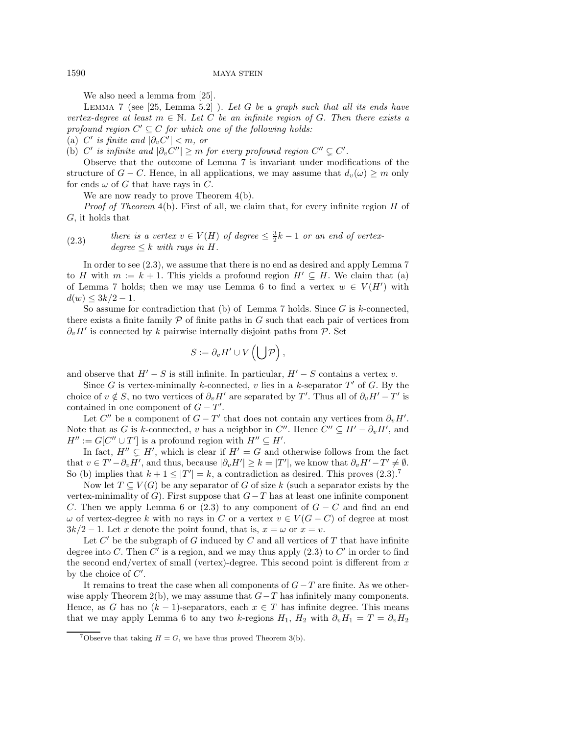We also need a lemma from [25].

Lemma 7 (see [25, Lemma 5.2] ). *Let* G *be a graph such that all its ends have vertex-degree at least*  $m \in \mathbb{N}$ *. Let* C *be an infinite region of* G*. Then there exists a profound region*  $C' \subseteq C$  *for which one of the following holds:* 

 $(a)$  *C'* is finite and  $|\partial_v C'| < m$ , or

(b)  $C'$  is infinite and  $|\partial_v C''| \geq m$  for every profound region  $C'' \subsetneq C'$ .

Observe that the outcome of Lemma 7 is invariant under modifications of the structure of  $G - C$ . Hence, in all applications, we may assume that  $d_v(\omega) \geq m$  only for ends  $\omega$  of G that have rays in C.

We are now ready to prove Theorem  $4(b)$ .

*Proof of Theorem 4(b).* First of all, we claim that, for every infinite region H of G, it holds that

(2.3) *there is a vertex*  $v \in V(H)$  *of degree*  $\leq \frac{3}{2}k - 1$  *or an end of vertex* $degree \leq k$  *with rays in H.* 

In order to see (2.3), we assume that there is no end as desired and apply Lemma 7 to H with  $m := k + 1$ . This yields a profound region  $H' \subseteq H$ . We claim that (a) of Lemma 7 holds; then we may use Lemma 6 to find a vertex  $w \in V(H')$  with  $d(w) \leq 3k/2 - 1.$ 

So assume for contradiction that (b) of Lemma 7 holds. Since  $G$  is k-connected, there exists a finite family  $\mathcal P$  of finite paths in  $G$  such that each pair of vertices from  $\partial_{\nu}H'$  is connected by k pairwise internally disjoint paths from P. Set

$$
S := \partial_v H' \cup V\left(\bigcup \mathcal{P}\right),
$$

and observe that  $H' - S$  is still infinite. In particular,  $H' - S$  contains a vertex v.

Since G is vertex-minimally k-connected, v lies in a k-separator  $T'$  of G. By the choice of  $v \notin S$ , no two vertices of  $\partial_v H'$  are separated by T'. Thus all of  $\partial_v H' - T'$  is contained in one component of  $G - T'$ .

Let  $C''$  be a component of  $G - T'$  that does not contain any vertices from  $\partial_v H'$ . Note that as G is k-connected, v has a neighbor in  $C''$ . Hence  $C'' \subseteq H' - \partial_v H'$ , and  $H'' := G[C'' \cup T']$  is a profound region with  $H'' \subseteq H'$ .

In fact,  $H'' \subsetneq H'$ , which is clear if  $H' = G$  and otherwise follows from the fact that  $v \in T' - \partial_v H'$ , and thus, because  $|\partial_v H'| \geq k = |T'|$ , we know that  $\partial_v H' - T' \neq \emptyset$ . So (b) implies that  $k + 1 \leq |T'| = k$ , a contradiction as desired. This proves  $(2.3)^7$ 

Now let  $T \subseteq V(G)$  be any separator of G of size k (such a separator exists by the vertex-minimality of G). First suppose that  $G-T$  has at least one infinite component C. Then we apply Lemma 6 or (2.3) to any component of  $G - C$  and find an end  $\omega$  of vertex-degree k with no rays in C or a vertex  $v \in V(G-C)$  of degree at most  $3k/2 - 1$ . Let x denote the point found, that is,  $x = \omega$  or  $x = v$ .

Let  $C'$  be the subgraph of G induced by C and all vertices of T that have infinite degree into C. Then  $C'$  is a region, and we may thus apply  $(2.3)$  to  $C'$  in order to find the second end/vertex of small (vertex)-degree. This second point is different from  $x$ by the choice of  $C'$ .

It remains to treat the case when all components of  $G-T$  are finite. As we otherwise apply Theorem 2(b), we may assume that  $G-T$  has infinitely many components. Hence, as G has no  $(k-1)$ -separators, each  $x \in T$  has infinite degree. This means that we may apply Lemma 6 to any two k-regions  $H_1$ ,  $H_2$  with  $\partial_{\nu}H_1 = T = \partial_{\nu}H_2$ 

<sup>&</sup>lt;sup>7</sup>Observe that taking  $H = G$ , we have thus proved Theorem 3(b).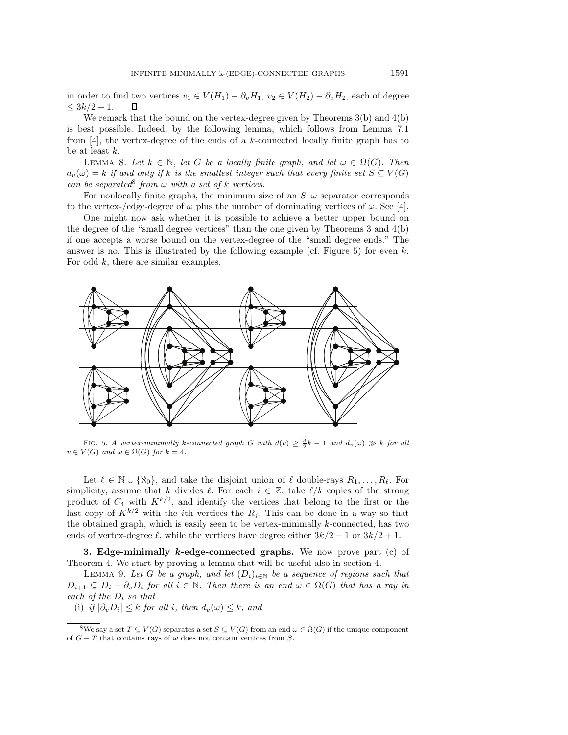in order to find two vertices  $v_1 \in V(H_1) - \partial_v H_1$ ,  $v_2 \in V(H_2) - \partial_v H_2$ , each of degree  $\leq 3k/2-1$ . ◫

We remark that the bound on the vertex-degree given by Theorems  $3(b)$  and  $4(b)$ is best possible. Indeed, by the following lemma, which follows from Lemma 7.1 from [4], the vertex-degree of the ends of a k-connected locally finite graph has to be at least k.

LEMMA 8. Let  $k \in \mathbb{N}$ , let G be a locally finite graph, and let  $\omega \in \Omega(G)$ . Then  $d_v(\omega) = k$  *if and only if* k *is the smallest integer such that every finite set*  $S \subseteq V(G)$ *can be separated*<sup>8</sup> *from*  $\omega$  *with* a set of k *vertices*.

For nonlocally finite graphs, the minimum size of an  $S-\omega$  separator corresponds to the vertex-/edge-degree of  $\omega$  plus the number of dominating vertices of  $\omega$ . See [4].

One might now ask whether it is possible to achieve a better upper bound on the degree of the "small degree vertices" than the one given by Theorems 3 and 4(b) if one accepts a worse bound on the vertex-degree of the "small degree ends." The answer is no. This is illustrated by the following example (cf. Figure 5) for even  $k$ . For odd k, there are similar examples.



FIG. 5. *A vertex-minimally* k-connected graph G with  $d(v) \geq \frac{3}{2}k - 1$  and  $d_v(\omega) \gg k$  for all  $v \in V(G)$  *and*  $\omega \in \Omega(G)$  *for*  $k = 4$ *.* 

Let  $\ell \in \mathbb{N} \cup \{\aleph_0\}$ , and take the disjoint union of  $\ell$  double-rays  $R_1, \ldots, R_\ell$ . For simplicity, assume that k divides  $\ell$ . For each  $i \in \mathbb{Z}$ , take  $\ell/k$  copies of the strong product of  $C_4$  with  $K^{k/2}$ , and identify the vertices that belong to the first or the last copy of  $K^{k/2}$  with the *i*th vertices the  $R_j$ . This can be done in a way so that the obtained graph, which is easily seen to be vertex-minimally  $k$ -connected, has two ends of vertex-degree  $\ell$ , while the vertices have degree either  $3k/2 - 1$  or  $3k/2 + 1$ .

**3. Edge-minimally** *k***-edge-connected graphs.** We now prove part (c) of Theorem 4. We start by proving a lemma that will be useful also in section 4.

LEMMA 9. Let G be a graph, and let  $(D_i)_{i\in\mathbb{N}}$  be a sequence of regions such that  $D_{i+1} \subseteq D_i - \partial_v D_i$  for all  $i \in \mathbb{N}$ . Then there is an end  $\omega \in \Omega(G)$  that has a ray in *each of the* D<sup>i</sup> *so that*

(i) *if*  $|\partial_v D_i| \leq k$  *for all i, then*  $d_v(\omega) \leq k$ *, and* 

<sup>&</sup>lt;sup>8</sup>We say a set  $T \subset V(G)$  separates a set  $S \subset V(G)$  from an end  $\omega \in \Omega(G)$  if the unique component of  $G - T$  that contains rays of  $\omega$  does not contain vertices from S.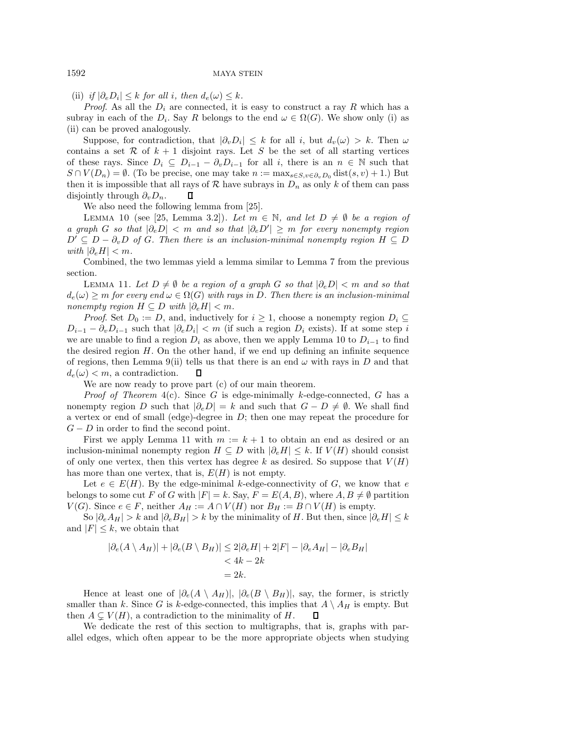(ii) *if*  $|\partial_e D_i| \leq k$  *for all i, then*  $d_e(\omega) \leq k$ *.* 

*Proof.* As all the  $D_i$  are connected, it is easy to construct a ray R which has a subray in each of the  $D_i$ . Say R belongs to the end  $\omega \in \Omega(G)$ . We show only (i) as (ii) can be proved analogously.

Suppose, for contradiction, that  $|\partial_v D_i| \leq k$  for all i, but  $d_v(\omega) > k$ . Then  $\omega$ contains a set R of  $k + 1$  disjoint rays. Let S be the set of all starting vertices of these rays. Since  $D_i \subseteq D_{i-1} - \partial_v D_{i-1}$  for all i, there is an  $n \in \mathbb{N}$  such that  $S \cap V(D_n) = \emptyset$ . (To be precise, one may take  $n := \max_{s \in S, v \in \partial_n D_0} \text{dist}(s, v) + 1$ .) But then it is impossible that all rays of  $R$  have subrays in  $D_n$  as only k of them can pass disjointly through  $\partial_{\nu}D_{n}$ .  $\Box$ 

We also need the following lemma from [25].

LEMMA 10 (see [25, Lemma 3.2]). Let  $m \in \mathbb{N}$ , and let  $D \neq \emptyset$  be a region of *a graph* G so that  $|\partial_e D|$  < m and so that  $|\partial_e D'| \geq m$  for every nonempty region  $D' \subseteq D - \partial_v D$  of G. Then there is an inclusion-minimal nonempty region  $H \subseteq D$ *with*  $|\partial_e H| < m$ *.* 

Combined, the two lemmas yield a lemma similar to Lemma 7 from the previous section.

LEMMA 11. Let  $D \neq ∅$  be a region of a graph G so that  $|\partial_e D| < m$  and so that  $d_e(\omega) \geq m$  *for every end*  $\omega \in \Omega(G)$  *with rays in* D. Then there is an inclusion-minimal *nonempty region*  $H \subseteq D$  *with*  $|\partial_e H| < m$ *.* 

*Proof.* Set  $D_0 := D$ , and, inductively for  $i \geq 1$ , choose a nonempty region  $D_i \subseteq$  $D_{i-1} - \partial_v D_{i-1}$  such that  $|\partial_e D_i| < m$  (if such a region  $D_i$  exists). If at some step i we are unable to find a region  $D_i$  as above, then we apply Lemma 10 to  $D_{i-1}$  to find the desired region  $H$ . On the other hand, if we end up defining an infinite sequence of regions, then Lemma 9(ii) tells us that there is an end  $\omega$  with rays in D and that  $d_e(\omega) < m$ , a contradiction.  $\Box$ 

We are now ready to prove part (c) of our main theorem.

*Proof of Theorem* 4(c)*.* Since G is edge-minimally k-edge-connected, G has a nonempty region D such that  $|\partial_e D| = k$  and such that  $G - D \neq \emptyset$ . We shall find a vertex or end of small (edge)-degree in  $D$ ; then one may repeat the procedure for  $G - D$  in order to find the second point.

First we apply Lemma 11 with  $m := k + 1$  to obtain an end as desired or an inclusion-minimal nonempty region  $H \subseteq D$  with  $|\partial_e H| \leq k$ . If  $V(H)$  should consist of only one vertex, then this vertex has degree k as desired. So suppose that  $V(H)$ has more than one vertex, that is,  $E(H)$  is not empty.

Let  $e \in E(H)$ . By the edge-minimal k-edge-connectivity of G, we know that e belongs to some cut F of G with  $|F| = k$ . Say,  $F = E(A, B)$ , where  $A, B \neq \emptyset$  partition  $V(G)$ . Since  $e \in F$ , neither  $A_H := A \cap V(H)$  nor  $B_H := B \cap V(H)$  is empty.

So  $|\partial_e A_H| > k$  and  $|\partial_e B_H| > k$  by the minimality of H. But then, since  $|\partial_e H| \leq k$ and  $|F| \leq k$ , we obtain that

$$
|\partial_e(A \setminus A_H)| + |\partial_e(B \setminus B_H)| \le 2|\partial_e H| + 2|F| - |\partial_e A_H| - |\partial_e B_H|
$$
  
< 
$$
< 4k - 2k
$$
  

$$
= 2k.
$$

Hence at least one of  $|\partial_e(A \setminus A_H)|, |\partial_e(B \setminus B_H)|$ , say, the former, is strictly smaller than k. Since G is k-edge-connected, this implies that  $A \setminus A_H$  is empty. But then  $A \subsetneq V(H)$ , a contradiction to the minimality of H. л

We dedicate the rest of this section to multigraphs, that is, graphs with parallel edges, which often appear to be the more appropriate objects when studying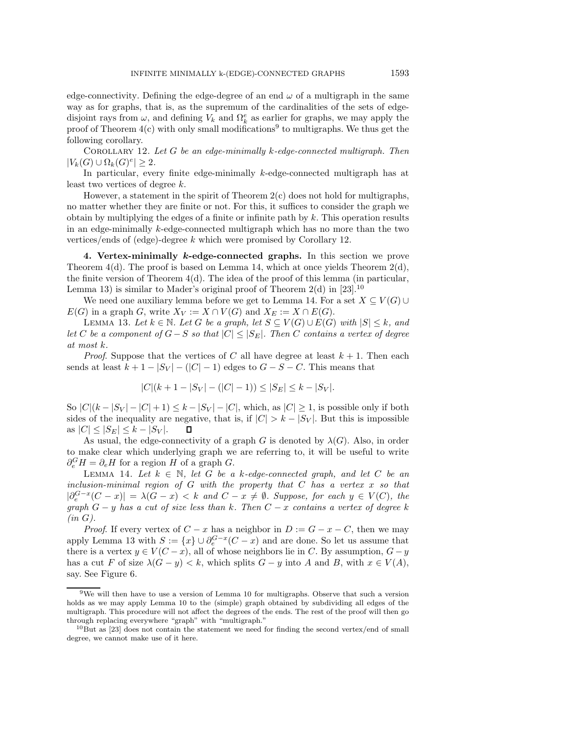edge-connectivity. Defining the edge-degree of an end  $\omega$  of a multigraph in the same way as for graphs, that is, as the supremum of the cardinalities of the sets of edgedisjoint rays from  $\omega$ , and defining  $V_k$  and  $\Omega_k^e$  as earlier for graphs, we may apply the proof of Theorem  $4(c)$  with only small modifications<sup>9</sup> to multigraphs. We thus get the following corollary.

Corollary 12. *Let* G *be an edge-minimally* k*-edge-connected multigraph. Then*  $|V_k(G) \cup \Omega_k(G)^e| \geq 2.$ 

In particular, every finite edge-minimally  $k$ -edge-connected multigraph has at least two vertices of degree k.

However, a statement in the spirit of Theorem  $2(c)$  does not hold for multigraphs, no matter whether they are finite or not. For this, it suffices to consider the graph we obtain by multiplying the edges of a finite or infinite path by  $k$ . This operation results in an edge-minimally k-edge-connected multigraph which has no more than the two vertices/ends of (edge)-degree k which were promised by Corollary 12.

**4. Vertex-minimally** *k***-edge-connected graphs.** In this section we prove Theorem  $4(d)$ . The proof is based on Lemma 14, which at once yields Theorem  $2(d)$ , the finite version of Theorem  $4(d)$ . The idea of the proof of this lemma (in particular, Lemma 13) is similar to Mader's original proof of Theorem  $2(d)$  in [23].<sup>10</sup>

We need one auxiliary lemma before we get to Lemma 14. For a set  $X \subseteq V(G) \cup$  $E(G)$  in a graph G, write  $X_V := X \cap V(G)$  and  $X_E := X \cap E(G)$ .

LEMMA 13. Let  $k \in \mathbb{N}$ . Let G be a graph, let  $S \subseteq V(G) \cup E(G)$  with  $|S| \leq k$ , and *let* C *be a component of*  $G-S$  *so that*  $|C| ≤ |S<sub>E</sub>|$ *. Then* C *contains a vertex of degree at most* k*.*

*Proof.* Suppose that the vertices of C all have degree at least  $k + 1$ . Then each sends at least  $k+1-|S_V|-(|C|-1)$  edges to  $G-S-C$ . This means that

$$
|C|(k+1-|S_V|-(|C|-1)) \le |S_E| \le k-|S_V|.
$$

So  $|C|(k-|S_V|-|C|+1) \leq k-|S_V|-|C|$ , which, as  $|C| \geq 1$ , is possible only if both sides of the inequality are negative, that is, if  $|C| > k - |S_V|$ . But this is impossible as  $|C| \leq |S_E| \leq k - |S_V|$ .  $\Box$ 

As usual, the edge-connectivity of a graph G is denoted by  $\lambda(G)$ . Also, in order to make clear which underlying graph we are referring to, it will be useful to write  $\partial_e^G H = \partial_e H$  for a region H of a graph G.

LEMMA 14. Let  $k \in \mathbb{N}$ , let G be a k-edge-connected graph, and let C be an *inclusion-minimal region of* G *with the property that* C *has a vertex* x *so that*  $|\partial_{\epsilon}^{G-x}(C-x)| = \lambda(G-x) < k$  *and*  $C-x \neq \emptyset$ *. Suppose, for each*  $y \in V(C)$ *, the graph* G − y *has a cut of size less than* k*. Then* C − x *contains a vertex of degree* k *(in* G*).*

*Proof.* If every vertex of  $C - x$  has a neighbor in  $D := G - x - C$ , then we may apply Lemma 13 with  $S := \{x\} \cup \partial_{\epsilon}^{G-x} (C-x)$  and are done. So let us assume that there is a vertex  $y \in V(C - x)$ , all of whose neighbors lie in C. By assumption,  $G - y$ has a cut F of size  $\lambda(G - y) < k$ , which splits  $G - y$  into A and B, with  $x \in V(A)$ , say. See Figure 6.

<sup>9</sup>We will then have to use a version of Lemma 10 for multigraphs. Observe that such a version holds as we may apply Lemma 10 to the (simple) graph obtained by subdividing all edges of the multigraph. This procedure will not affect the degrees of the ends. The rest of the proof will then go through replacing everywhere "graph" with "multigraph."

 $10$ But as [23] does not contain the statement we need for finding the second vertex/end of small degree, we cannot make use of it here.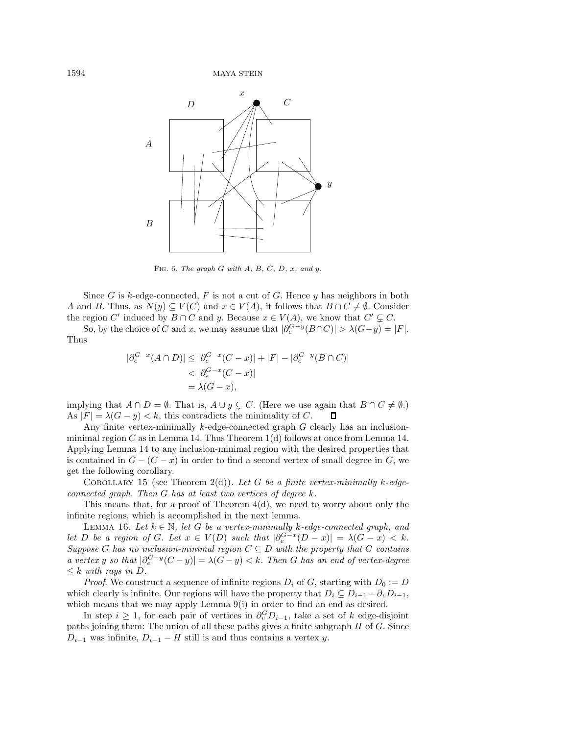

Fig. 6. *The graph* G *with* A*,* B*,* C*,* D*,* x*, and* y*.*

Since G is k-edge-connected, F is not a cut of G. Hence y has neighbors in both A and B. Thus, as  $N(y) \subseteq V(C)$  and  $x \in V(A)$ , it follows that  $B \cap C \neq \emptyset$ . Consider the region C' induced by  $B \cap C$  and y. Because  $x \in V(A)$ , we know that  $C' \subsetneq C$ .

So, by the choice of C and x, we may assume that  $|\partial_e^{G-y}(B\cap C)| > \lambda(G-y) = |F|$ . Thus

$$
|\partial_e^{G-x}(A \cap D)| \le |\partial_e^{G-x}(C-x)| + |F| - |\partial_e^{G-y}(B \cap C)|
$$
  
<  $|\partial_e^{G-x}(C-x)|$   
 $= \lambda(G-x),$ 

implying that  $A \cap D = \emptyset$ . That is,  $A \cup y \subsetneq C$ . (Here we use again that  $B \cap C \neq \emptyset$ .) As  $|F| = \lambda(G - y) < k$ , this contradicts the minimality of C. 口

Any finite vertex-minimally  $k$ -edge-connected graph  $G$  clearly has an inclusionminimal region C as in Lemma 14. Thus Theorem  $1(d)$  follows at once from Lemma 14. Applying Lemma 14 to any inclusion-minimal region with the desired properties that is contained in  $G - (C - x)$  in order to find a second vertex of small degree in G, we get the following corollary.

COROLLARY 15 (see Theorem  $2(d)$ ). Let G be a finite vertex-minimally k-edge*connected graph. Then* G *has at least two vertices of degree* k*.*

This means that, for a proof of Theorem 4(d), we need to worry about only the infinite regions, which is accomplished in the next lemma.

LEMMA 16. Let  $k \in \mathbb{N}$ , let G be a vertex-minimally k-edge-connected graph, and *let* D *be a region of* G. Let  $x \in V(D)$  *such that*  $|\partial_e^{G-x}(D-x)| = \lambda(G-x) < k$ . *Suppose* G has no inclusion-minimal region  $C \subseteq D$  with the property that C *contains a vertex* y so that  $|\partial_e^{G-y}(C-y)| = \lambda(G-y) < k$ . Then G has an end of vertex-degree  $\leq k$  *with rays in D.* 

*Proof.* We construct a sequence of infinite regions  $D_i$  of G, starting with  $D_0 := D$ which clearly is infinite. Our regions will have the property that  $D_i \subseteq D_{i-1} - \partial_v D_{i-1}$ , which means that we may apply Lemma  $9(i)$  in order to find an end as desired.

In step  $i \geq 1$ , for each pair of vertices in  $\partial_v^G D_{i-1}$ , take a set of k edge-disjoint paths joining them: The union of all these paths gives a finite subgraph  $H$  of  $G$ . Since  $D_{i-1}$  was infinite,  $D_{i-1} - H$  still is and thus contains a vertex y.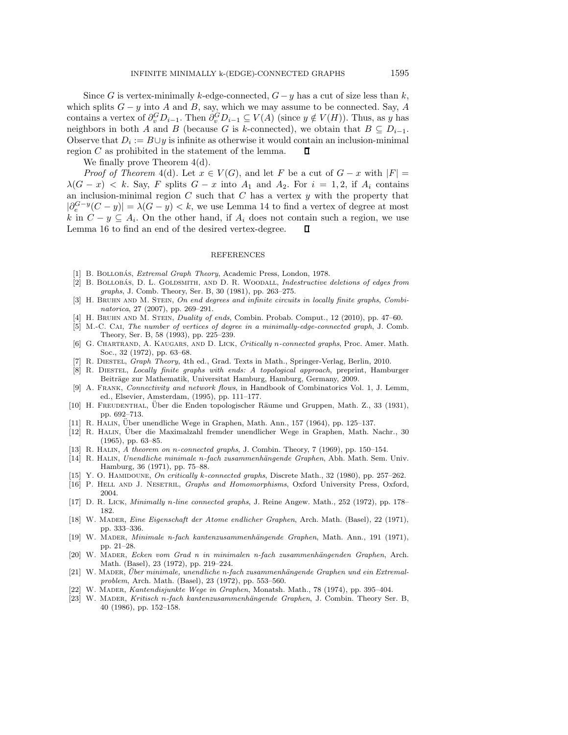Since G is vertex-minimally k-edge-connected,  $G - y$  has a cut of size less than k, which splits  $G - y$  into A and B, say, which we may assume to be connected. Say, A contains a vertex of  $\partial_v^G D_{i-1}$ . Then  $\partial_v^G D_{i-1} \subseteq V(A)$  (since  $y \notin V(H)$ ). Thus, as y has neighbors in both A and B (because G is k-connected), we obtain that  $B \subseteq D_{i-1}$ . Observe that  $D_i := B \cup y$  is infinite as otherwise it would contain an inclusion-minimal region C as prohibited in the statement of the lemma. Π

We finally prove Theorem  $4(d)$ .

*Proof of Theorem* 4(d). Let  $x \in V(G)$ , and let F be a cut of  $G - x$  with  $|F| =$  $\lambda(G - x) < k$ . Say, F splits  $G - x$  into  $A_1$  and  $A_2$ . For  $i = 1, 2$ , if  $A_i$  contains an inclusion-minimal region  $C$  such that  $C$  has a vertex  $y$  with the property that  $|\partial_e^{G-y}(C-y)| = \lambda(G-y) < k$ , we use Lemma 14 to find a vertex of degree at most k in  $C - y \subseteq A_i$ . On the other hand, if  $A_i$  does not contain such a region, we use Lemma 16 to find an end of the desired vertex-degree. П

### REFERENCES

- [1] B. BOLLOBÁS, *Extremal Graph Theory*, Academic Press, London, 1978.
- [2] B. BOLLOBÁS, D. L. GOLDSMITH, AND D. R. WOODALL, *Indestructive deletions of edges from graphs*, J. Comb. Theory, Ser. B, 30 (1981), pp. 263–275.
- [3] H. Bruhn and M. Stein, *On end degrees and infinite circuits in locally finite graphs*, *Combinatorica*, 27 (2007), pp. 269–291.
- [4] H. Bruhn and M. Stein, *Duality of ends*, Combin. Probab. Comput., 12 (2010), pp. 47–60.
- [5] M.-C. Cai, *The number of vertices of degree in a minimally-edge-connected graph*, J. Comb. Theory, Ser. B, 58 (1993), pp. 225–239.
- [6] G. Chartrand, A. Kaugars, and D. Lick, *Critically* n*-connected graphs*, Proc. Amer. Math. Soc., 32 (1972), pp. 63–68.
- [7] R. Diestel, *Graph Theory*, 4th ed., Grad. Texts in Math., Springer-Verlag, Berlin, 2010.
- [8] R. Diestel, *Locally finite graphs with ends: A topological approach*, preprint, Hamburger Beiträge zur Mathematik, Universitat Hamburg, Hamburg, Germany, 2009.
- [9] A. Frank, *Connectivity and network flows*, in Handbook of Combinatorics Vol. 1, J. Lemm, ed., Elsevier, Amsterdam, (1995), pp. 111–177.
- [10] H. FREUDENTHAL, Über die Enden topologischer Räume und Gruppen, Math. Z., 33 (1931), pp. 692–713.
- [11] R. HALIN, Über unendliche Wege in Graphen, Math. Ann., 157 (1964), pp. 125–137.
- [12] R. Halin, Uber die Maximalzahl fremder unendlicher Wege in Graphen, Math. Nachr., 30 ¨ (1965), pp. 63–85.
- [13] R. Halin, *A theorem on* n*-connected graphs*, J. Combin. Theory, 7 (1969), pp. 150–154.
- [14] R. Halin, *Unendliche minimale* n*-fach zusammenh¨angende Graphen*, Abh. Math. Sem. Univ. Hamburg, 36 (1971), pp. 75–88.
- [15] Y. O. Hamidoune, *On critically* k*-connected graphs*, Discrete Math., 32 (1980), pp. 257–262.
- [16] P. Hell and J. Nesetril, *Graphs and Homomorphisms*, Oxford University Press, Oxford, 2004.
- [17] D. R. Lick, *Minimally* n*-line connected graphs*, J. Reine Angew. Math., 252 (1972), pp. 178– 182.
- [18] W. Mader, *Eine Eigenschaft der Atome endlicher Graphen*, Arch. Math. (Basel), 22 (1971), pp. 333–336.
- [19] W. Mader, *Minimale n-fach kantenzusammenh¨angende Graphen*, Math. Ann., 191 (1971), pp. 21–28.
- [20] W. Mader, *Ecken vom Grad n in minimalen n-fach zusammenh¨angenden Graphen*, Arch. Math. (Basel), 23 (1972), pp. 219–224.
- [21] W. MADER, *Über minimale, unendliche n-fach zusammenhängende Graphen und ein Extremalproblem*, Arch. Math. (Basel), 23 (1972), pp. 553–560.
- [22] W. Mader, *Kantendisjunkte Wege in Graphen*, Monatsh. Math., 78 (1974), pp. 395–404.
- [23] W. Mader, *Kritisch* n*-fach kantenzusammenh¨angende Graphen*, J. Combin. Theory Ser. B, 40 (1986), pp. 152–158.